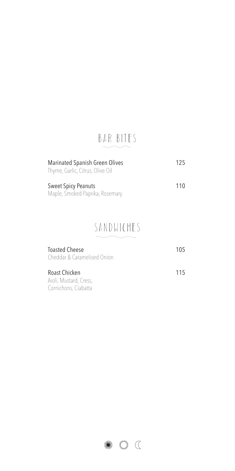### BAR BITES

| <b>Marinated Spanish Green Olives</b> | 125 |
|---------------------------------------|-----|
| Thyme, Garlic, Citrus, Olive Oil      |     |
|                                       |     |
| <b>Sweet Spicy Peanuts</b>            | 110 |
| Maple, Smoked Paprika, Rosemary       |     |

### SANDWICHES

| <b>Toasted Cheese</b><br>Cheddar & Caramelised Onion | 105 |
|------------------------------------------------------|-----|
| Roast Chicken                                        | 115 |
| Aioli, Mustard, Cress,                               |     |
| Cornichons, Ciabatta                                 |     |

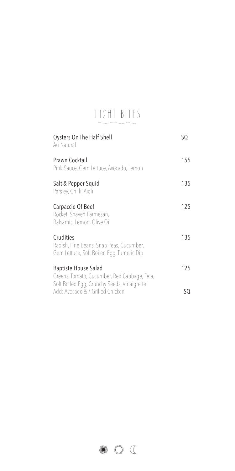# LIGHT BITES

| Oysters On The Half Shell<br>Au Natural                                                                                    | SQ  |
|----------------------------------------------------------------------------------------------------------------------------|-----|
| Prawn Cocktail<br>Pink Sauce, Gem Lettuce, Avocado, Lemon                                                                  | 155 |
| Salt & Pepper Squid<br>Parsley, Chilli, Aioli                                                                              | 135 |
| Carpaccio Of Beef<br>Rocket, Shaved Parmesan,<br>Balsamic, Lemon, Olive Oil                                                | 125 |
| Crudities<br>Radish, Fine Beans, Snap Peas, Cucumber,<br>Gem Lettuce, Soft Boiled Egg, Tumeric Dip                         | 135 |
| <b>Baptiste House Salad</b><br>Greens, Tomato, Cucumber, Red Cabbage, Feta,<br>Soft Boiled Egg, Crunchy Seeds, Vinaigrette | 125 |
| Add: Avocado & / Grilled Chicken                                                                                           | SO  |

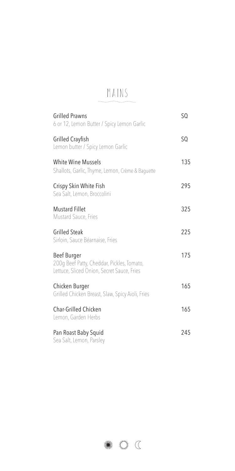## MAINS

| <b>Grilled Prawns</b><br>6 or 12, Lemon Butter / Spicy Lemon Garlic                                     | SQ  |
|---------------------------------------------------------------------------------------------------------|-----|
| <b>Grilled Crayfish</b><br>Lemon butter / Spicy Lemon Garlic                                            | SQ  |
| <b>White Wine Mussels</b><br>Shallots, Garlic, Thyme, Lemon, Crème & Baguette                           | 135 |
| Crispy Skin White Fish<br>Sea Salt, Lemon, Broccolini                                                   | 295 |
| <b>Mustard Fillet</b><br>Mustard Sauce, Fries                                                           | 325 |
| <b>Grilled Steak</b><br>Sirloin, Sauce Béarnaise, Fries                                                 | 225 |
| Beef Burger<br>200q Beef Patty, Cheddar, Pickles, Tomato,<br>Lettuce, Sliced Onion, Secret Sauce, Fries | 175 |
| Chicken Burger<br>Grilled Chicken Breast, Slaw, Spicy Aioli, Fries                                      | 165 |
| Char-Grilled Chicken<br>Lemon, Garden Herbs                                                             | 165 |
| Pan Roast Baby Squid<br>Sea Salt, Lemon, Parsley                                                        | 245 |